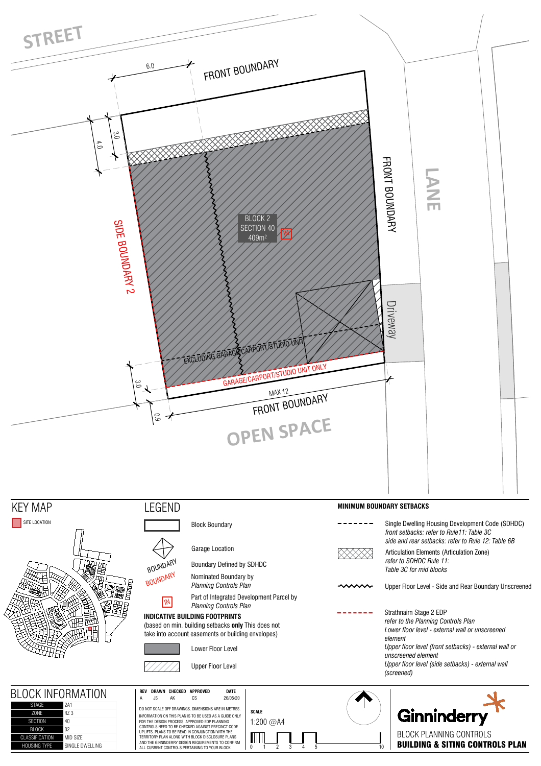